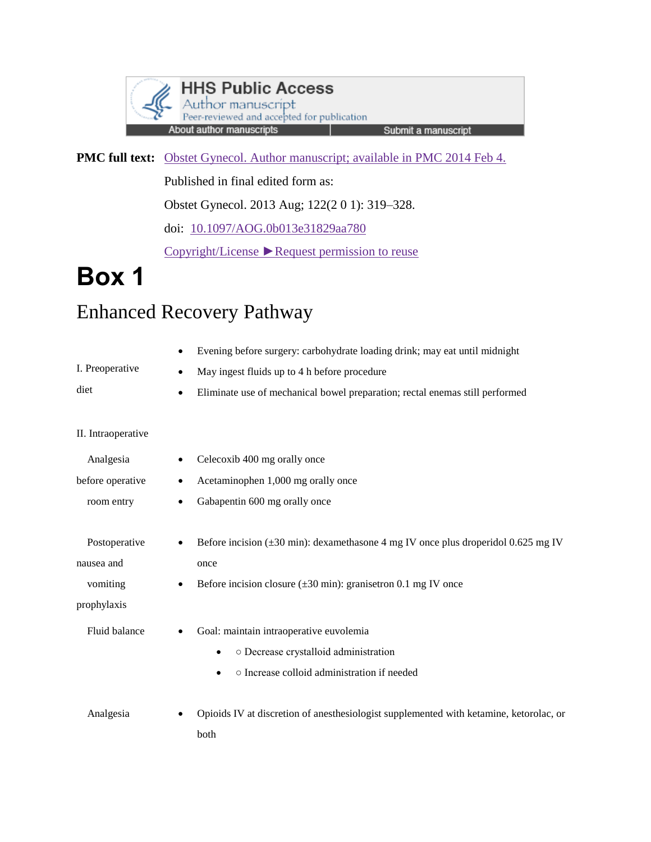

**PMC full text:** [Obstet Gynecol. Author manuscript; available in PMC 2014 Feb 4.](https://www.ncbi.nlm.nih.gov/pmc/articles/PMC3913481/)

Published in final edited form as:

Obstet Gynecol. 2013 Aug; 122(2 0 1): 319–328.

doi: [10.1097/AOG.0b013e31829aa780](https://dx.doi.org/10.1097%2FAOG.0b013e31829aa780)

[Copyright/License](https://www.ncbi.nlm.nih.gov/pmc/articles/PMC3913481/table/T1/) [►Request permission to reuse](https://www.ncbi.nlm.nih.gov/pmc/articles/PMC3913481/table/T1/)

## **Box 1**

## Enhanced Recovery Pathway

|                    | Evening before surgery: carbohydrate loading drink; may eat until midnight<br>٠           |
|--------------------|-------------------------------------------------------------------------------------------|
| I. Preoperative    | May ingest fluids up to 4 h before procedure<br>$\bullet$                                 |
| diet               | Eliminate use of mechanical bowel preparation; rectal enemas still performed<br>$\bullet$ |
|                    |                                                                                           |
| II. Intraoperative |                                                                                           |
| Analgesia          | Celecoxib 400 mg orally once<br>٠                                                         |
| before operative   | Acetaminophen 1,000 mg orally once<br>٠                                                   |
| room entry         | Gabapentin 600 mg orally once<br>$\bullet$                                                |
|                    |                                                                                           |
| Postoperative      | Before incision ( $\pm 30$ min): dexamethasone 4 mg IV once plus droperidol 0.625 mg IV   |
| nausea and         | once                                                                                      |
| vomiting           | Before incision closure $(\pm 30 \text{ min})$ : granisetron 0.1 mg IV once<br>$\bullet$  |
| prophylaxis        |                                                                                           |
| Fluid balance      | Goal: maintain intraoperative euvolemia                                                   |
|                    | o Decrease crystalloid administration<br>$\bullet$                                        |
|                    | o Increase colloid administration if needed<br>$\bullet$                                  |
|                    |                                                                                           |
| Analgesia          | Opioids IV at discretion of anesthesiologist supplemented with ketamine, ketorolac, or    |
|                    | both                                                                                      |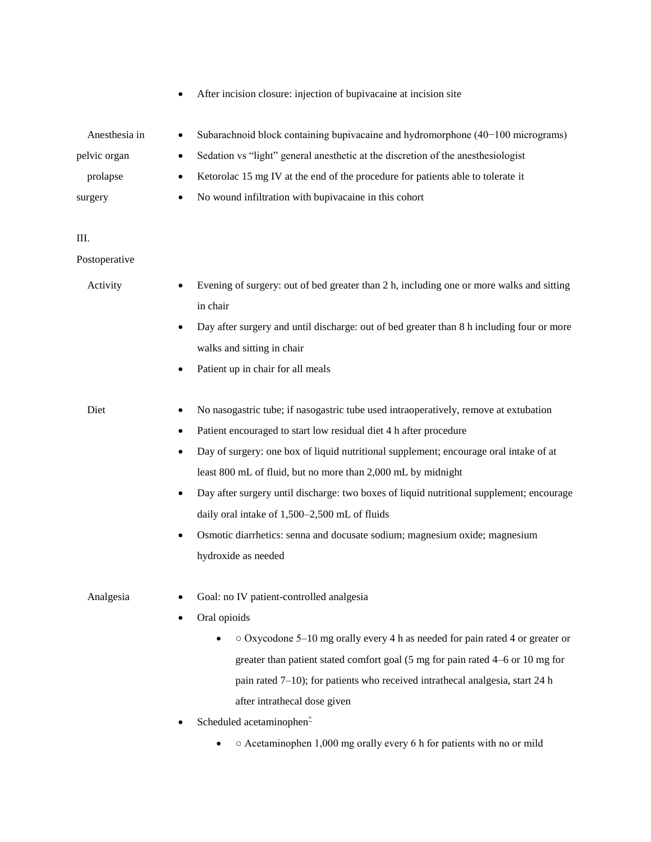|               | After incision closure: injection of bupivacaine at incision site                                                                                                                                                                                                                         |
|---------------|-------------------------------------------------------------------------------------------------------------------------------------------------------------------------------------------------------------------------------------------------------------------------------------------|
| Anesthesia in | Subarachnoid block containing bupivacaine and hydromorphone $(40-100$ micrograms)<br>٠                                                                                                                                                                                                    |
| pelvic organ  | Sedation vs "light" general anesthetic at the discretion of the anesthesiologist<br>٠                                                                                                                                                                                                     |
| prolapse      | Ketorolac 15 mg IV at the end of the procedure for patients able to tolerate it                                                                                                                                                                                                           |
| surgery       | No wound infiltration with bupivacaine in this cohort                                                                                                                                                                                                                                     |
| Ш.            |                                                                                                                                                                                                                                                                                           |
| Postoperative |                                                                                                                                                                                                                                                                                           |
| Activity      | Evening of surgery: out of bed greater than 2 h, including one or more walks and sitting<br>in chair                                                                                                                                                                                      |
|               | Day after surgery and until discharge: out of bed greater than 8 h including four or more<br>walks and sitting in chair                                                                                                                                                                   |
|               | Patient up in chair for all meals                                                                                                                                                                                                                                                         |
| Diet          | No nasogastric tube; if nasogastric tube used intraoperatively, remove at extubation                                                                                                                                                                                                      |
|               | Patient encouraged to start low residual diet 4 h after procedure                                                                                                                                                                                                                         |
|               | Day of surgery: one box of liquid nutritional supplement; encourage oral intake of at                                                                                                                                                                                                     |
|               | least 800 mL of fluid, but no more than 2,000 mL by midnight                                                                                                                                                                                                                              |
|               | Day after surgery until discharge: two boxes of liquid nutritional supplement; encourage<br>$\bullet$                                                                                                                                                                                     |
|               | daily oral intake of 1,500-2,500 mL of fluids                                                                                                                                                                                                                                             |
|               | Osmotic diarrhetics: senna and docusate sodium; magnesium oxide; magnesium<br>$\bullet$<br>hydroxide as needed                                                                                                                                                                            |
| Analgesia     | Goal: no IV patient-controlled analgesia                                                                                                                                                                                                                                                  |
|               | Oral opioids                                                                                                                                                                                                                                                                              |
|               | $\circ$ Oxycodone 5–10 mg orally every 4 h as needed for pain rated 4 or greater or<br>greater than patient stated comfort goal (5 mg for pain rated 4–6 or 10 mg for<br>pain rated $7-10$ ); for patients who received intrathecal analgesia, start 24 h<br>after intrathecal dose given |
|               | Scheduled acetaminophen-                                                                                                                                                                                                                                                                  |

•  $\circ$  Acetaminophen 1,000 mg orally every 6 h for patients with no or mild